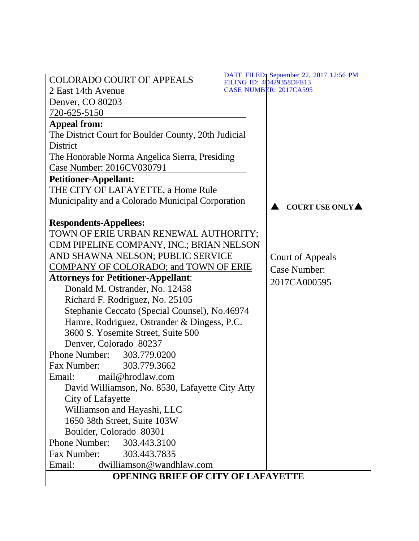|                                                      | DATE FILED: September 22, 2017 12:56 PM |
|------------------------------------------------------|-----------------------------------------|
| <b>COLORADO COURT OF APPEALS</b>                     | FILING ID: 4D429358DFE13                |
| 2 East 14th Avenue                                   | <b>CASE NUMBER: 2017CA595</b>           |
| Denver, CO 80203                                     |                                         |
| 720-625-5150                                         |                                         |
| <b>Appeal from:</b>                                  |                                         |
| The District Court for Boulder County, 20th Judicial |                                         |
| <b>District</b>                                      |                                         |
| The Honorable Norma Angelica Sierra, Presiding       |                                         |
| Case Number: 2016CV030791                            |                                         |
| <b>Petitioner-Appellant:</b>                         |                                         |
| THE CITY OF LAFAYETTE, a Home Rule                   |                                         |
| Municipality and a Colorado Municipal Corporation    | <b>COURT USE ONLY</b>                   |
|                                                      |                                         |
| <b>Respondents-Appellees:</b>                        |                                         |
| TOWN OF ERIE URBAN RENEWAL AUTHORITY;                |                                         |
| CDM PIPELINE COMPANY, INC.; BRIAN NELSON             |                                         |
| AND SHAWNA NELSON; PUBLIC SERVICE                    | <b>Court of Appeals</b>                 |
| COMPANY OF COLORADO; and TOWN OF ERIE                | <b>Case Number:</b>                     |
| <b>Attorneys for Petitioner-Appellant:</b>           | 2017CA000595                            |
| Donald M. Ostrander, No. 12458                       |                                         |
| Richard F. Rodriguez, No. 25105                      |                                         |
| Stephanie Ceccato (Special Counsel), No.46974        |                                         |
| Hamre, Rodriguez, Ostrander & Dingess, P.C.          |                                         |
| 3600 S. Yosemite Street, Suite 500                   |                                         |
| Denver, Colorado 80237                               |                                         |
| <b>Phone Number:</b><br>303.779.0200                 |                                         |
| Fax Number:<br>303.779.3662                          |                                         |
| Email: mail@hrodlaw.com                              |                                         |
| David Williamson, No. 8530, Lafayette City Atty      |                                         |
| City of Lafayette                                    |                                         |
| Williamson and Hayashi, LLC                          |                                         |
| 1650 38th Street, Suite 103W                         |                                         |
| Boulder, Colorado 80301                              |                                         |
| <b>Phone Number:</b><br>303.443.3100                 |                                         |
| Fax Number:<br>303.443.7835                          |                                         |
| Email:<br>dwilliamson@wandhlaw.com                   |                                         |
| <b>OPENING BRIEF OF CITY OF LAFAYETTE</b>            |                                         |
|                                                      |                                         |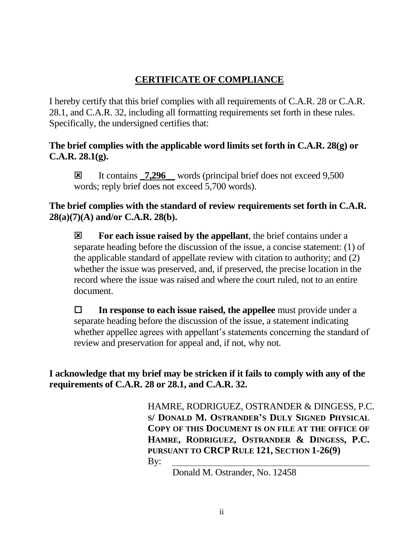## **CERTIFICATE OF COMPLIANCE**

I hereby certify that this brief complies with all requirements of C.A.R. 28 or C.A.R. 28.1, and C.A.R. 32, including all formatting requirements set forth in these rules. Specifically, the undersigned certifies that:

**The brief complies with the applicable word limits set forth in C.A.R. 28(g) or C.A.R. 28.1(g).**

It contains **7,296** words (principal brief does not exceed 9,500 words; reply brief does not exceed 5,700 words).

**The brief complies with the standard of review requirements set forth in C.A.R. 28(a)(7)(A) and/or C.A.R. 28(b).**

**EX** For each issue raised by the appellant, the brief contains under a separate heading before the discussion of the issue, a concise statement: (1) of the applicable standard of appellate review with citation to authority; and (2) whether the issue was preserved, and, if preserved, the precise location in the record where the issue was raised and where the court ruled, not to an entire document.

 **In response to each issue raised, the appellee** must provide under a separate heading before the discussion of the issue, a statement indicating whether appellee agrees with appellant's statements concerning the standard of review and preservation for appeal and, if not, why not.

**I acknowledge that my brief may be stricken if it fails to comply with any of the requirements of C.A.R. 28 or 28.1, and C.A.R. 32.**

> HAMRE, RODRIGUEZ, OSTRANDER & DINGESS, P.C. **S/ DONALD M. OSTRANDER'S DULY SIGNED PHYSICAL COPY OF THIS DOCUMENT IS ON FILE AT THE OFFICE OF HAMRE, RODRIGUEZ, OSTRANDER & DINGESS, P.C. PURSUANT TO CRCP RULE 121, SECTION 1-26(9)** By:

> > Donald M. Ostrander, No. 12458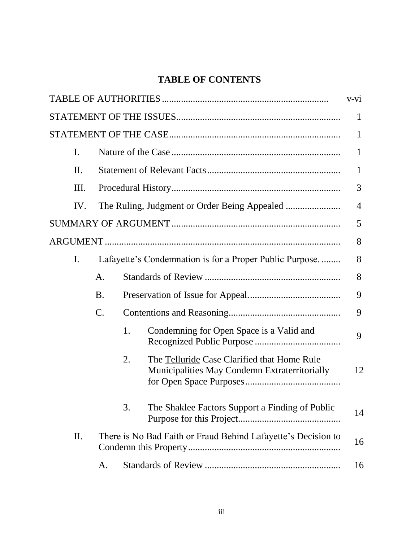# **TABLE OF CONTENTS**

|     |           |    |                                                                                              | $V-V1$ |
|-----|-----------|----|----------------------------------------------------------------------------------------------|--------|
|     |           |    |                                                                                              | 1      |
|     |           |    | 1                                                                                            |        |
| I.  |           |    |                                                                                              |        |
| Π.  |           |    |                                                                                              |        |
| Ш.  |           |    |                                                                                              |        |
| IV. |           |    |                                                                                              |        |
|     |           |    |                                                                                              | 5      |
|     |           |    |                                                                                              | 8      |
| I.  |           |    | Lafayette's Condemnation is for a Proper Public Purpose                                      | 8      |
|     | A.        |    |                                                                                              | 8      |
|     | <b>B.</b> |    |                                                                                              | 9      |
|     | C.        |    |                                                                                              | 9      |
|     |           | 1. | Condemning for Open Space is a Valid and                                                     | 9      |
|     |           | 2. | The Telluride Case Clarified that Home Rule<br>Municipalities May Condemn Extraterritorially | 12     |
|     |           | 3. | The Shaklee Factors Support a Finding of Public                                              | 14     |
| II. |           |    | There is No Bad Faith or Fraud Behind Lafayette's Decision to                                | 16     |
|     | A.        |    |                                                                                              | 16     |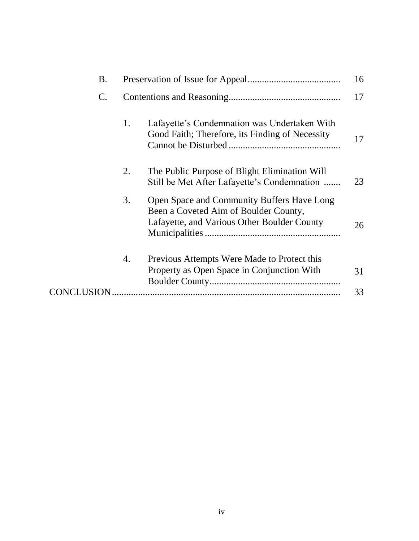| <b>B.</b>       |    |                                                                                                                                    | 16 |
|-----------------|----|------------------------------------------------------------------------------------------------------------------------------------|----|
| $\mathcal{C}$ . |    |                                                                                                                                    | 17 |
|                 | 1. | Lafayette's Condemnation was Undertaken With<br>Good Faith; Therefore, its Finding of Necessity                                    | 17 |
|                 | 2. | The Public Purpose of Blight Elimination Will<br>Still be Met After Lafayette's Condemnation                                       | 23 |
|                 | 3. | Open Space and Community Buffers Have Long<br>Been a Coveted Aim of Boulder County,<br>Lafayette, and Various Other Boulder County | 26 |
|                 | 4. | Previous Attempts Were Made to Protect this<br>Property as Open Space in Conjunction With                                          | 31 |
| CONCLUSION.     |    |                                                                                                                                    | 33 |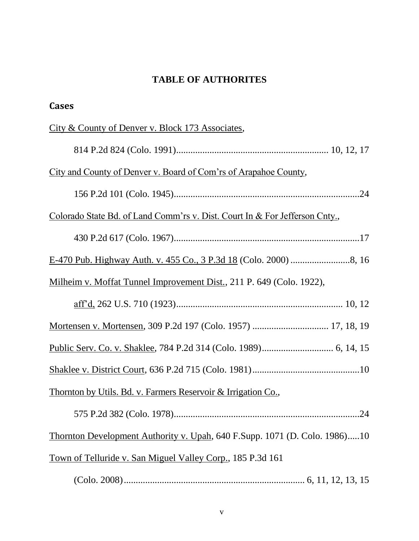# **TABLE OF AUTHORITES**

**Cases**

| City & County of Denver v. Block 173 Associates,                           |
|----------------------------------------------------------------------------|
|                                                                            |
| City and County of Denver v. Board of Com'rs of Arapahoe County,           |
|                                                                            |
| Colorado State Bd. of Land Comm'rs v. Dist. Court In & For Jefferson Cnty. |
|                                                                            |
|                                                                            |
| Milheim v. Moffat Tunnel Improvement Dist., 211 P. 649 (Colo. 1922),       |
|                                                                            |
| Mortensen v. Mortensen, 309 P.2d 197 (Colo. 1957)  17, 18, 19              |
|                                                                            |
|                                                                            |
| <u>Thornton by Utils. Bd. v. Farmers Reservoir &amp; Irrigation Co.,</u>   |
|                                                                            |
| Thornton Development Authority v. Upah, 640 F.Supp. 1071 (D. Colo. 1986)10 |
| Town of Telluride v. San Miguel Valley Corp., 185 P.3d 161                 |
|                                                                            |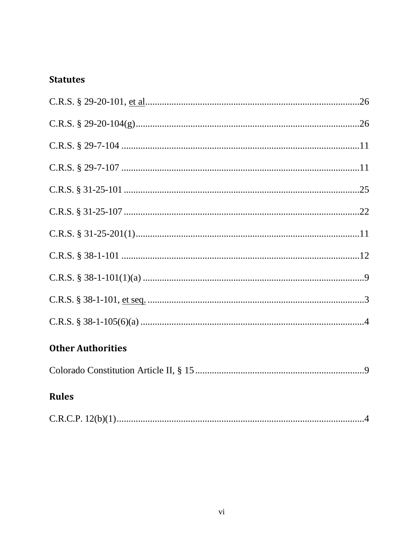## **Statutes**

# **Other Authorities**

|--|--|--|

# **Rules**

|--|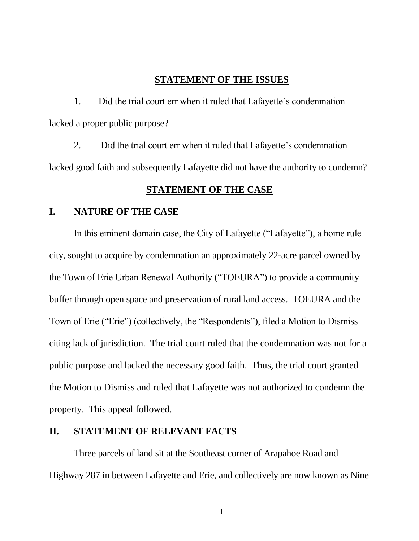#### **STATEMENT OF THE ISSUES**

1. Did the trial court err when it ruled that Lafayette's condemnation lacked a proper public purpose?

2. Did the trial court err when it ruled that Lafayette's condemnation lacked good faith and subsequently Lafayette did not have the authority to condemn?

### **STATEMENT OF THE CASE**

#### **I. NATURE OF THE CASE**

In this eminent domain case, the City of Lafayette ("Lafayette"), a home rule city, sought to acquire by condemnation an approximately 22-acre parcel owned by the Town of Erie Urban Renewal Authority ("TOEURA") to provide a community buffer through open space and preservation of rural land access. TOEURA and the Town of Erie ("Erie") (collectively, the "Respondents"), filed a Motion to Dismiss citing lack of jurisdiction. The trial court ruled that the condemnation was not for a public purpose and lacked the necessary good faith. Thus, the trial court granted the Motion to Dismiss and ruled that Lafayette was not authorized to condemn the property. This appeal followed.

#### **II. STATEMENT OF RELEVANT FACTS**

Three parcels of land sit at the Southeast corner of Arapahoe Road and Highway 287 in between Lafayette and Erie, and collectively are now known as Nine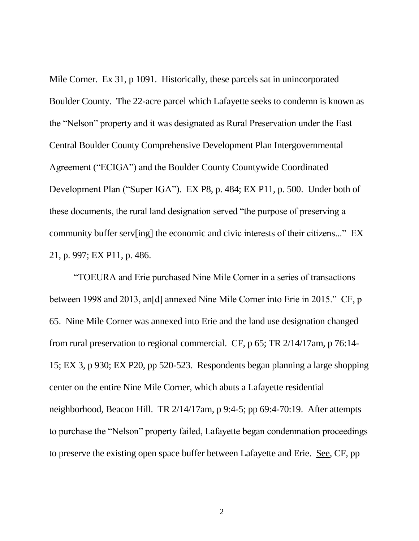Mile Corner. Ex 31, p 1091. Historically, these parcels sat in unincorporated Boulder County. The 22-acre parcel which Lafayette seeks to condemn is known as the "Nelson" property and it was designated as Rural Preservation under the East Central Boulder County Comprehensive Development Plan Intergovernmental Agreement ("ECIGA") and the Boulder County Countywide Coordinated Development Plan ("Super IGA"). EX P8, p. 484; EX P11, p. 500. Under both of these documents, the rural land designation served "the purpose of preserving a community buffer serv[ing] the economic and civic interests of their citizens..." EX 21, p. 997; EX P11, p. 486.

"TOEURA and Erie purchased Nine Mile Corner in a series of transactions between 1998 and 2013, an[d] annexed Nine Mile Corner into Erie in 2015." CF, p 65. Nine Mile Corner was annexed into Erie and the land use designation changed from rural preservation to regional commercial. CF, p 65; TR 2/14/17am, p 76:14- 15; EX 3, p 930; EX P20, pp 520-523. Respondents began planning a large shopping center on the entire Nine Mile Corner, which abuts a Lafayette residential neighborhood, Beacon Hill. TR 2/14/17am, p 9:4-5; pp 69:4-70:19. After attempts to purchase the "Nelson" property failed, Lafayette began condemnation proceedings to preserve the existing open space buffer between Lafayette and Erie. See, CF, pp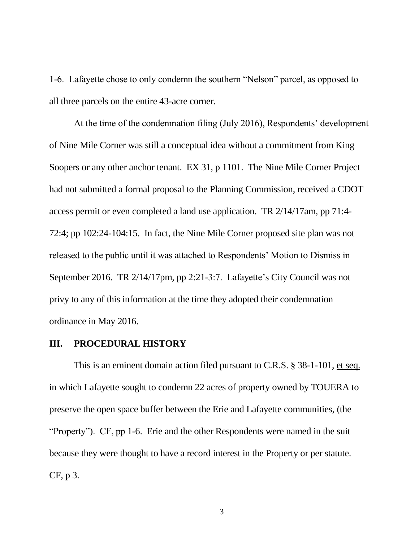1-6. Lafayette chose to only condemn the southern "Nelson" parcel, as opposed to all three parcels on the entire 43-acre corner.

At the time of the condemnation filing (July 2016), Respondents' development of Nine Mile Corner was still a conceptual idea without a commitment from King Soopers or any other anchor tenant. EX 31, p 1101. The Nine Mile Corner Project had not submitted a formal proposal to the Planning Commission, received a CDOT access permit or even completed a land use application. TR 2/14/17am, pp 71:4- 72:4; pp 102:24-104:15. In fact, the Nine Mile Corner proposed site plan was not released to the public until it was attached to Respondents' Motion to Dismiss in September 2016. TR 2/14/17pm, pp 2:21-3:7. Lafayette's City Council was not privy to any of this information at the time they adopted their condemnation ordinance in May 2016.

#### **III. PROCEDURAL HISTORY**

This is an eminent domain action filed pursuant to C.R.S. § 38-1-101, et seq. in which Lafayette sought to condemn 22 acres of property owned by TOUERA to preserve the open space buffer between the Erie and Lafayette communities, (the "Property"). CF, pp 1-6. Erie and the other Respondents were named in the suit because they were thought to have a record interest in the Property or per statute. CF, p 3.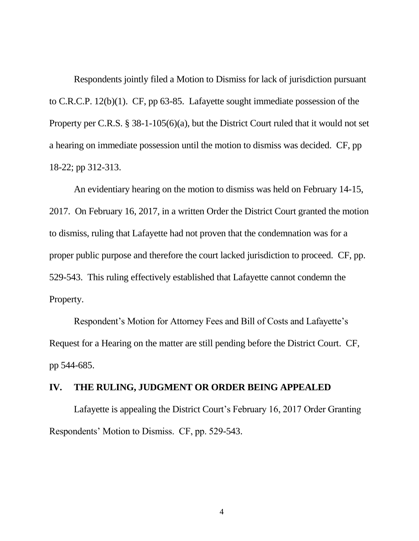Respondents jointly filed a Motion to Dismiss for lack of jurisdiction pursuant to C.R.C.P. 12(b)(1). CF, pp 63-85. Lafayette sought immediate possession of the Property per C.R.S. § 38-1-105(6)(a), but the District Court ruled that it would not set a hearing on immediate possession until the motion to dismiss was decided. CF, pp 18-22; pp 312-313.

An evidentiary hearing on the motion to dismiss was held on February 14-15, 2017. On February 16, 2017, in a written Order the District Court granted the motion to dismiss, ruling that Lafayette had not proven that the condemnation was for a proper public purpose and therefore the court lacked jurisdiction to proceed. CF, pp. 529-543. This ruling effectively established that Lafayette cannot condemn the Property.

Respondent's Motion for Attorney Fees and Bill of Costs and Lafayette's Request for a Hearing on the matter are still pending before the District Court. CF, pp 544-685.

#### **IV. THE RULING, JUDGMENT OR ORDER BEING APPEALED**

Lafayette is appealing the District Court's February 16, 2017 Order Granting Respondents' Motion to Dismiss. CF, pp. 529-543.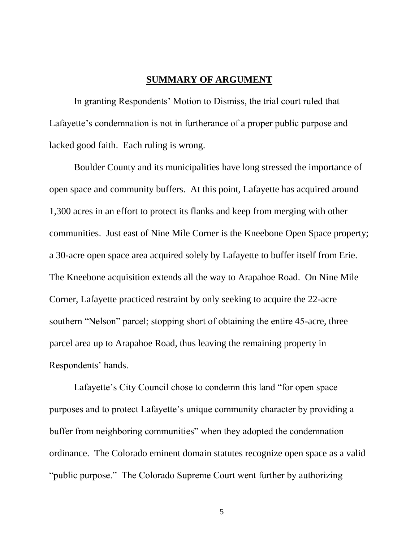#### **SUMMARY OF ARGUMENT**

In granting Respondents' Motion to Dismiss, the trial court ruled that Lafayette's condemnation is not in furtherance of a proper public purpose and lacked good faith. Each ruling is wrong.

Boulder County and its municipalities have long stressed the importance of open space and community buffers. At this point, Lafayette has acquired around 1,300 acres in an effort to protect its flanks and keep from merging with other communities. Just east of Nine Mile Corner is the Kneebone Open Space property; a 30-acre open space area acquired solely by Lafayette to buffer itself from Erie. The Kneebone acquisition extends all the way to Arapahoe Road. On Nine Mile Corner, Lafayette practiced restraint by only seeking to acquire the 22-acre southern "Nelson" parcel; stopping short of obtaining the entire 45-acre, three parcel area up to Arapahoe Road, thus leaving the remaining property in Respondents' hands.

Lafayette's City Council chose to condemn this land "for open space purposes and to protect Lafayette's unique community character by providing a buffer from neighboring communities" when they adopted the condemnation ordinance. The Colorado eminent domain statutes recognize open space as a valid "public purpose." The Colorado Supreme Court went further by authorizing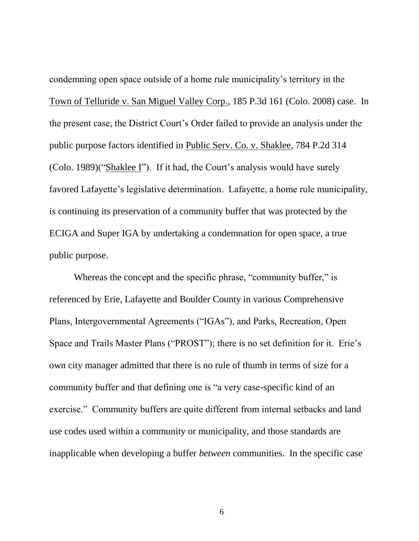condemning open space outside of a home rule municipality's territory in the Town of Telluride v. San Miguel Valley Corp., 185 P.3d 161 (Colo. 2008) case. In the present case, the District Court's Order failed to provide an analysis under the public purpose factors identified in Public Serv. Co. v. Shaklee, 784 P.2d 314 (Colo. 1989)("Shaklee I"). If it had, the Court's analysis would have surely favored Lafayette's legislative determination. Lafayette, a home rule municipality, is continuing its preservation of a community buffer that was protected by the ECIGA and Super IGA by undertaking a condemnation for open space, a true public purpose.

Whereas the concept and the specific phrase, "community buffer," is referenced by Erie, Lafayette and Boulder County in various Comprehensive Plans, Intergovernmental Agreements ("IGAs"), and Parks, Recreation, Open Space and Trails Master Plans ("PROST"); there is no set definition for it. Erie's own city manager admitted that there is no rule of thumb in terms of size for a community buffer and that defining one is "a very case-specific kind of an exercise." Community buffers are quite different from internal setbacks and land use codes used within a community or municipality, and those standards are inapplicable when developing a buffer *between* communities. In the specific case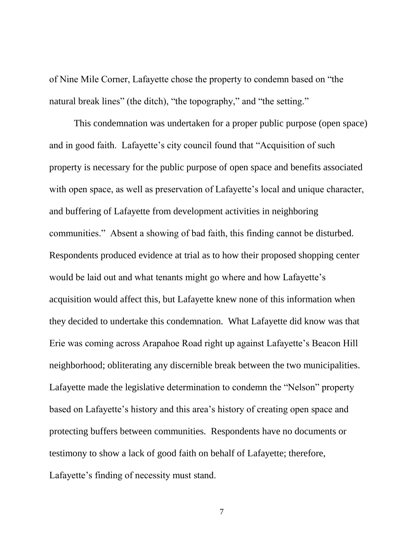of Nine Mile Corner, Lafayette chose the property to condemn based on "the natural break lines" (the ditch), "the topography," and "the setting."

This condemnation was undertaken for a proper public purpose (open space) and in good faith. Lafayette's city council found that "Acquisition of such property is necessary for the public purpose of open space and benefits associated with open space, as well as preservation of Lafayette's local and unique character, and buffering of Lafayette from development activities in neighboring communities." Absent a showing of bad faith, this finding cannot be disturbed. Respondents produced evidence at trial as to how their proposed shopping center would be laid out and what tenants might go where and how Lafayette's acquisition would affect this, but Lafayette knew none of this information when they decided to undertake this condemnation. What Lafayette did know was that Erie was coming across Arapahoe Road right up against Lafayette's Beacon Hill neighborhood; obliterating any discernible break between the two municipalities. Lafayette made the legislative determination to condemn the "Nelson" property based on Lafayette's history and this area's history of creating open space and protecting buffers between communities. Respondents have no documents or testimony to show a lack of good faith on behalf of Lafayette; therefore, Lafayette's finding of necessity must stand.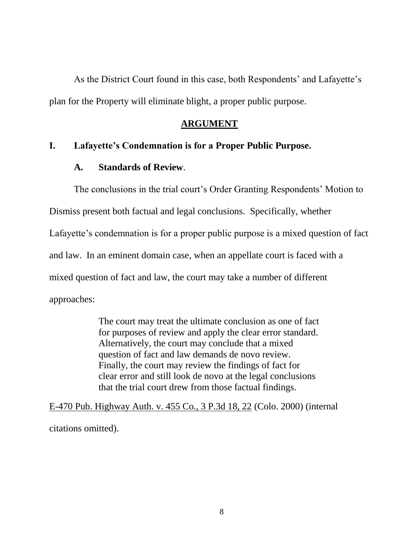As the District Court found in this case, both Respondents' and Lafayette's plan for the Property will eliminate blight, a proper public purpose.

### **ARGUMENT**

### **I. Lafayette's Condemnation is for a Proper Public Purpose.**

#### **A. Standards of Review**.

The conclusions in the trial court's Order Granting Respondents' Motion to Dismiss present both factual and legal conclusions. Specifically, whether Lafayette's condemnation is for a proper public purpose is a mixed question of fact and law. In an eminent domain case, when an appellate court is faced with a mixed question of fact and law, the court may take a number of different approaches:

> The court may treat the ultimate conclusion as one of fact for purposes of review and apply the clear error standard. Alternatively, the court may conclude that a mixed question of fact and law demands de novo review. Finally, the court may review the findings of fact for clear error and still look de novo at the legal conclusions that the trial court drew from those factual findings.

E-470 Pub. Highway Auth. v. 455 Co., 3 P.3d 18, 22 (Colo. 2000) (internal citations omitted).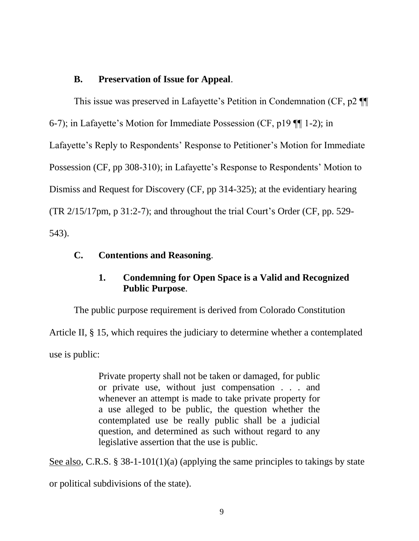### **B. Preservation of Issue for Appeal**.

This issue was preserved in Lafayette's Petition in Condemnation (CF, p2 ¶¶ 6-7); in Lafayette's Motion for Immediate Possession (CF, p19 ¶¶ 1-2); in Lafayette's Reply to Respondents' Response to Petitioner's Motion for Immediate Possession (CF, pp 308-310); in Lafayette's Response to Respondents' Motion to Dismiss and Request for Discovery (CF, pp 314-325); at the evidentiary hearing (TR 2/15/17pm, p 31:2-7); and throughout the trial Court's Order (CF, pp. 529- 543).

### **C. Contentions and Reasoning**.

### **1. Condemning for Open Space is a Valid and Recognized Public Purpose**.

The public purpose requirement is derived from Colorado Constitution

Article II, § 15, which requires the judiciary to determine whether a contemplated

use is public:

Private property shall not be taken or damaged, for public or private use, without just compensation . . . and whenever an attempt is made to take private property for a use alleged to be public, the question whether the contemplated use be really public shall be a judicial question, and determined as such without regard to any legislative assertion that the use is public.

See also, C.R.S. § 38-1-101(1)(a) (applying the same principles to takings by state

or political subdivisions of the state).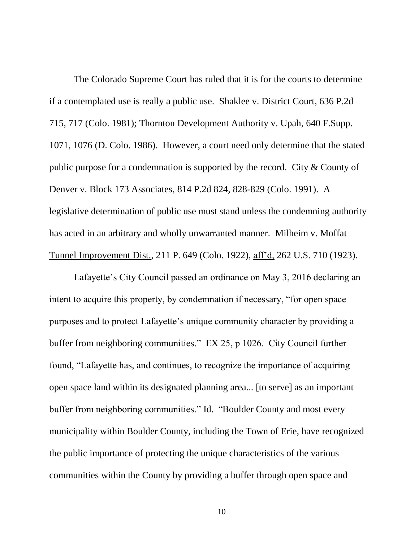The Colorado Supreme Court has ruled that it is for the courts to determine if a contemplated use is really a public use. Shaklee v. District Court, 636 P.2d 715, 717 (Colo. 1981); Thornton Development Authority v. Upah, 640 F.Supp. 1071, 1076 (D. Colo. 1986). However, a court need only determine that the stated public purpose for a condemnation is supported by the record. City & County of Denver v. Block 173 Associates, 814 P.2d 824, 828-829 (Colo. 1991). A legislative determination of public use must stand unless the condemning authority has acted in an arbitrary and wholly unwarranted manner. Milheim v. Moffat Tunnel Improvement Dist., 211 P. 649 (Colo. 1922), aff'd, 262 U.S. 710 (1923).

Lafayette's City Council passed an ordinance on May 3, 2016 declaring an intent to acquire this property, by condemnation if necessary, "for open space purposes and to protect Lafayette's unique community character by providing a buffer from neighboring communities." EX 25, p 1026. City Council further found, "Lafayette has, and continues, to recognize the importance of acquiring open space land within its designated planning area... [to serve] as an important buffer from neighboring communities." Id. "Boulder County and most every municipality within Boulder County, including the Town of Erie, have recognized the public importance of protecting the unique characteristics of the various communities within the County by providing a buffer through open space and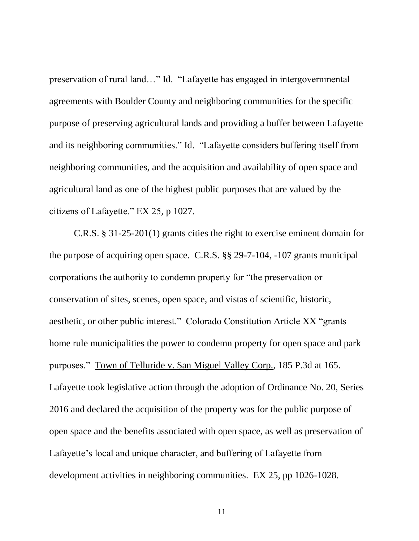preservation of rural land…" Id. "Lafayette has engaged in intergovernmental agreements with Boulder County and neighboring communities for the specific purpose of preserving agricultural lands and providing a buffer between Lafayette and its neighboring communities." Id. "Lafayette considers buffering itself from neighboring communities, and the acquisition and availability of open space and agricultural land as one of the highest public purposes that are valued by the citizens of Lafayette." EX 25, p 1027.

C.R.S. § 31-25-201(1) grants cities the right to exercise eminent domain for the purpose of acquiring open space. C.R.S. §§ 29-7-104, -107 grants municipal corporations the authority to condemn property for "the preservation or conservation of sites, scenes, open space, and vistas of scientific, historic, aesthetic, or other public interest." Colorado Constitution Article XX "grants home rule municipalities the power to condemn property for open space and park purposes." Town of Telluride v. San Miguel Valley Corp., 185 P.3d at 165. Lafayette took legislative action through the adoption of Ordinance No. 20, Series 2016 and declared the acquisition of the property was for the public purpose of open space and the benefits associated with open space, as well as preservation of Lafayette's local and unique character, and buffering of Lafayette from development activities in neighboring communities. EX 25, pp 1026-1028.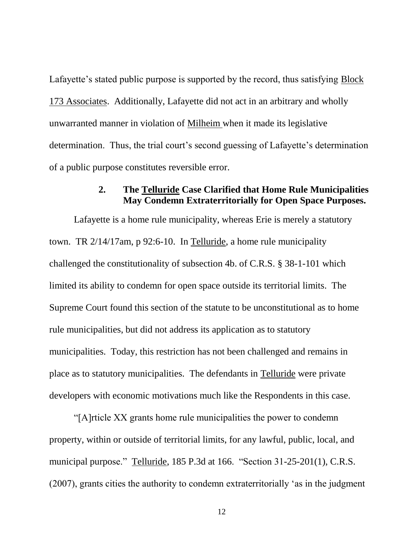Lafayette's stated public purpose is supported by the record, thus satisfying Block 173 Associates. Additionally, Lafayette did not act in an arbitrary and wholly unwarranted manner in violation of Milheim when it made its legislative determination. Thus, the trial court's second guessing of Lafayette's determination of a public purpose constitutes reversible error.

### **2. The Telluride Case Clarified that Home Rule Municipalities May Condemn Extraterritorially for Open Space Purposes.**

Lafayette is a home rule municipality, whereas Erie is merely a statutory town. TR 2/14/17am, p 92:6-10. In Telluride, a home rule municipality challenged the constitutionality of subsection 4b. of C.R.S. § 38-1-101 which limited its ability to condemn for open space outside its territorial limits. The Supreme Court found this section of the statute to be unconstitutional as to home rule municipalities, but did not address its application as to statutory municipalities. Today, this restriction has not been challenged and remains in place as to statutory municipalities. The defendants in Telluride were private developers with economic motivations much like the Respondents in this case.

"[A]rticle XX grants home rule municipalities the power to condemn property, within or outside of territorial limits, for any lawful, public, local, and municipal purpose." Telluride, 185 P.3d at 166. "Section 31-25-201(1), C.R.S. (2007), grants cities the authority to condemn extraterritorially 'as in the judgment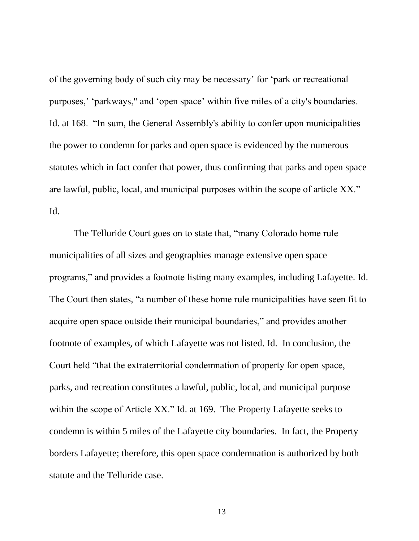of the governing body of such city may be necessary' for 'park or recreational purposes,' 'parkways," and 'open space' within five miles of a city's boundaries. Id. at 168. "In sum, the General Assembly's ability to confer upon municipalities the power to condemn for parks and open space is evidenced by the numerous statutes which in fact confer that power, thus confirming that parks and open space are lawful, public, local, and municipal purposes within the scope of article XX." Id.

The Telluride Court goes on to state that, "many Colorado home rule municipalities of all sizes and geographies manage extensive open space programs," and provides a footnote listing many examples, including Lafayette. Id. The Court then states, "a number of these home rule municipalities have seen fit to acquire open space outside their municipal boundaries," and provides another footnote of examples, of which Lafayette was not listed. Id. In conclusion, the Court held "that the extraterritorial condemnation of property for open space, parks, and recreation constitutes a lawful, public, local, and municipal purpose within the scope of Article XX." Id. at 169. The Property Lafayette seeks to condemn is within 5 miles of the Lafayette city boundaries. In fact, the Property borders Lafayette; therefore, this open space condemnation is authorized by both statute and the Telluride case.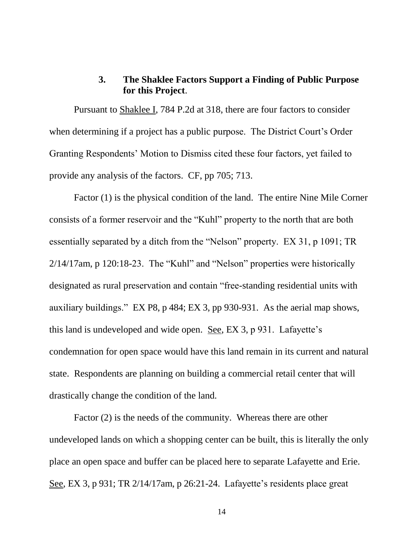### **3. The Shaklee Factors Support a Finding of Public Purpose for this Project**.

Pursuant to Shaklee I, 784 P.2d at 318, there are four factors to consider when determining if a project has a public purpose. The District Court's Order Granting Respondents' Motion to Dismiss cited these four factors, yet failed to provide any analysis of the factors. CF, pp 705; 713.

Factor (1) is the physical condition of the land. The entire Nine Mile Corner consists of a former reservoir and the "Kuhl" property to the north that are both essentially separated by a ditch from the "Nelson" property. EX 31, p 1091; TR 2/14/17am, p 120:18-23. The "Kuhl" and "Nelson" properties were historically designated as rural preservation and contain "free-standing residential units with auxiliary buildings." EX P8, p 484; EX 3, pp 930-931. As the aerial map shows, this land is undeveloped and wide open. See, EX 3, p 931. Lafayette's condemnation for open space would have this land remain in its current and natural state. Respondents are planning on building a commercial retail center that will drastically change the condition of the land.

Factor (2) is the needs of the community. Whereas there are other undeveloped lands on which a shopping center can be built, this is literally the only place an open space and buffer can be placed here to separate Lafayette and Erie. See, EX 3, p 931; TR 2/14/17am, p 26:21-24. Lafayette's residents place great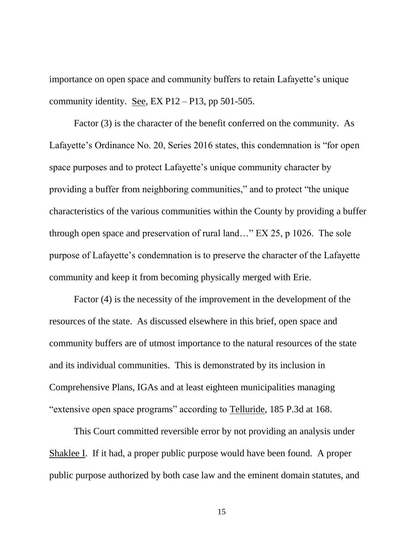importance on open space and community buffers to retain Lafayette's unique community identity. See,  $EX P12 - P13$ , pp 501-505.

Factor (3) is the character of the benefit conferred on the community. As Lafayette's Ordinance No. 20, Series 2016 states, this condemnation is "for open space purposes and to protect Lafayette's unique community character by providing a buffer from neighboring communities," and to protect "the unique characteristics of the various communities within the County by providing a buffer through open space and preservation of rural land…" EX 25, p 1026. The sole purpose of Lafayette's condemnation is to preserve the character of the Lafayette community and keep it from becoming physically merged with Erie.

Factor (4) is the necessity of the improvement in the development of the resources of the state. As discussed elsewhere in this brief, open space and community buffers are of utmost importance to the natural resources of the state and its individual communities. This is demonstrated by its inclusion in Comprehensive Plans, IGAs and at least eighteen municipalities managing "extensive open space programs" according to Telluride, 185 P.3d at 168.

This Court committed reversible error by not providing an analysis under Shaklee I. If it had, a proper public purpose would have been found. A proper public purpose authorized by both case law and the eminent domain statutes, and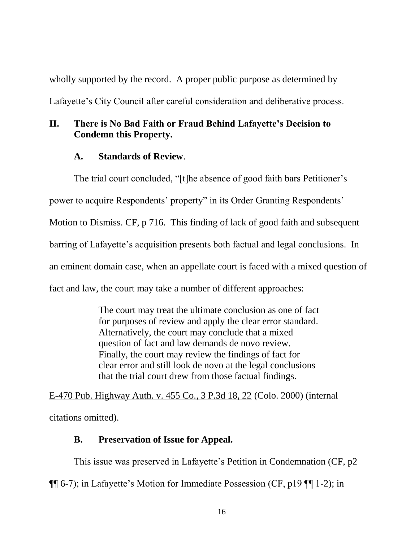wholly supported by the record. A proper public purpose as determined by Lafayette's City Council after careful consideration and deliberative process.

### **II. There is No Bad Faith or Fraud Behind Lafayette's Decision to Condemn this Property.**

### **A. Standards of Review**.

The trial court concluded, "[t]he absence of good faith bars Petitioner's power to acquire Respondents' property" in its Order Granting Respondents' Motion to Dismiss. CF, p 716. This finding of lack of good faith and subsequent barring of Lafayette's acquisition presents both factual and legal conclusions. In an eminent domain case, when an appellate court is faced with a mixed question of fact and law, the court may take a number of different approaches:

> The court may treat the ultimate conclusion as one of fact for purposes of review and apply the clear error standard. Alternatively, the court may conclude that a mixed question of fact and law demands de novo review. Finally, the court may review the findings of fact for clear error and still look de novo at the legal conclusions that the trial court drew from those factual findings.

E-470 Pub. Highway Auth. v. 455 Co., 3 P.3d 18, 22 (Colo. 2000) (internal citations omitted).

### **B. Preservation of Issue for Appeal.**

This issue was preserved in Lafayette's Petition in Condemnation (CF, p2 ¶¶ 6-7); in Lafayette's Motion for Immediate Possession (CF, p19 ¶¶ 1-2); in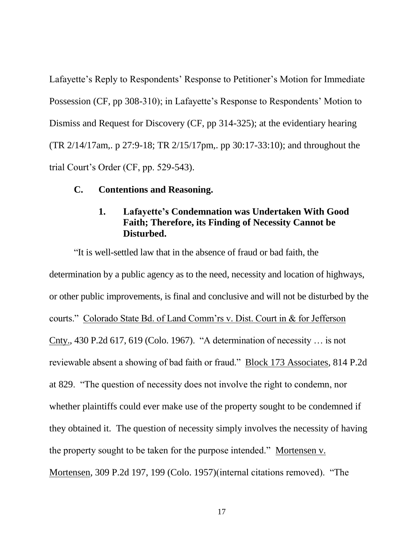Lafayette's Reply to Respondents' Response to Petitioner's Motion for Immediate Possession (CF, pp 308-310); in Lafayette's Response to Respondents' Motion to Dismiss and Request for Discovery (CF, pp 314-325); at the evidentiary hearing (TR 2/14/17am,. p 27:9-18; TR 2/15/17pm,. pp 30:17-33:10); and throughout the trial Court's Order (CF, pp. 529-543).

### **C. Contentions and Reasoning.**

### **1. Lafayette's Condemnation was Undertaken With Good Faith; Therefore, its Finding of Necessity Cannot be Disturbed.**

"It is well-settled law that in the absence of fraud or bad faith, the determination by a public agency as to the need, necessity and location of highways, or other public improvements, is final and conclusive and will not be disturbed by the courts." Colorado State Bd. of Land Comm'rs v. Dist. Court in & for Jefferson Cnty., 430 P.2d 617, 619 (Colo. 1967). "A determination of necessity … is not reviewable absent a showing of bad faith or fraud." Block 173 Associates, 814 P.2d at 829. "The question of necessity does not involve the right to condemn, nor whether plaintiffs could ever make use of the property sought to be condemned if they obtained it. The question of necessity simply involves the necessity of having the property sought to be taken for the purpose intended." Mortensen v. Mortensen, 309 P.2d 197, 199 (Colo. 1957)(internal citations removed). "The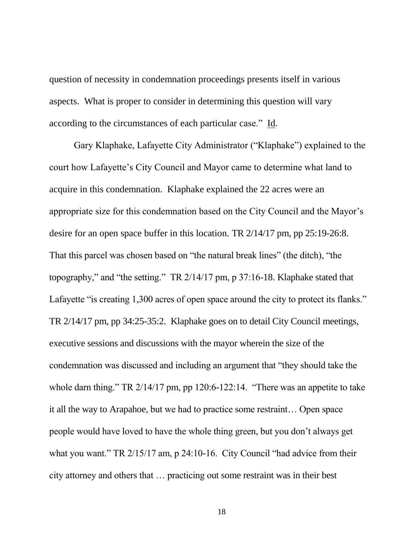question of necessity in condemnation proceedings presents itself in various aspects. What is proper to consider in determining this question will vary according to the circumstances of each particular case." Id.

Gary Klaphake, Lafayette City Administrator ("Klaphake") explained to the court how Lafayette's City Council and Mayor came to determine what land to acquire in this condemnation. Klaphake explained the 22 acres were an appropriate size for this condemnation based on the City Council and the Mayor's desire for an open space buffer in this location. TR 2/14/17 pm, pp 25:19-26:8. That this parcel was chosen based on "the natural break lines" (the ditch), "the topography," and "the setting." TR 2/14/17 pm, p 37:16-18. Klaphake stated that Lafayette "is creating 1,300 acres of open space around the city to protect its flanks." TR 2/14/17 pm, pp 34:25-35:2. Klaphake goes on to detail City Council meetings, executive sessions and discussions with the mayor wherein the size of the condemnation was discussed and including an argument that "they should take the whole darn thing." TR 2/14/17 pm, pp 120:6-122:14. "There was an appetite to take it all the way to Arapahoe, but we had to practice some restraint… Open space people would have loved to have the whole thing green, but you don't always get what you want." TR 2/15/17 am, p 24:10-16. City Council "had advice from their city attorney and others that … practicing out some restraint was in their best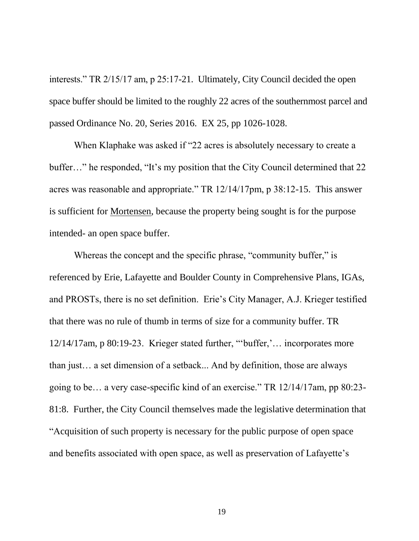interests." TR 2/15/17 am, p 25:17-21. Ultimately, City Council decided the open space buffer should be limited to the roughly 22 acres of the southernmost parcel and passed Ordinance No. 20, Series 2016. EX 25, pp 1026-1028.

When Klaphake was asked if "22 acres is absolutely necessary to create a buffer…" he responded, "It's my position that the City Council determined that 22 acres was reasonable and appropriate." TR 12/14/17pm, p 38:12-15. This answer is sufficient for Mortensen, because the property being sought is for the purpose intended- an open space buffer.

Whereas the concept and the specific phrase, "community buffer," is referenced by Erie, Lafayette and Boulder County in Comprehensive Plans, IGAs, and PROSTs, there is no set definition. Erie's City Manager, A.J. Krieger testified that there was no rule of thumb in terms of size for a community buffer. TR 12/14/17am, p 80:19-23. Krieger stated further, "'buffer,'… incorporates more than just… a set dimension of a setback... And by definition, those are always going to be… a very case-specific kind of an exercise." TR 12/14/17am, pp 80:23- 81:8. Further, the City Council themselves made the legislative determination that "Acquisition of such property is necessary for the public purpose of open space and benefits associated with open space, as well as preservation of Lafayette's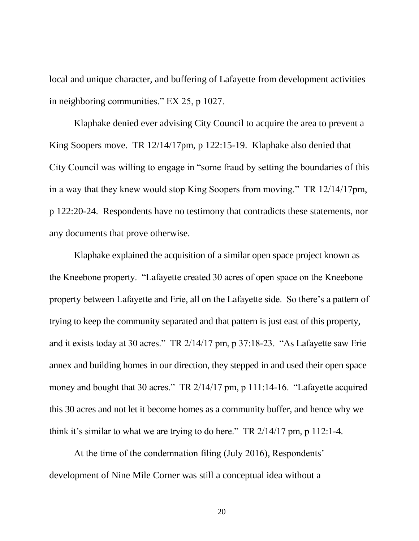local and unique character, and buffering of Lafayette from development activities in neighboring communities." EX 25, p 1027.

Klaphake denied ever advising City Council to acquire the area to prevent a King Soopers move. TR 12/14/17pm, p 122:15-19. Klaphake also denied that City Council was willing to engage in "some fraud by setting the boundaries of this in a way that they knew would stop King Soopers from moving." TR 12/14/17pm, p 122:20-24. Respondents have no testimony that contradicts these statements, nor any documents that prove otherwise.

Klaphake explained the acquisition of a similar open space project known as the Kneebone property. "Lafayette created 30 acres of open space on the Kneebone property between Lafayette and Erie, all on the Lafayette side. So there's a pattern of trying to keep the community separated and that pattern is just east of this property, and it exists today at 30 acres." TR 2/14/17 pm, p 37:18-23. "As Lafayette saw Erie annex and building homes in our direction, they stepped in and used their open space money and bought that 30 acres." TR 2/14/17 pm, p 111:14-16. "Lafayette acquired this 30 acres and not let it become homes as a community buffer, and hence why we think it's similar to what we are trying to do here." TR 2/14/17 pm, p 112:1-4.

At the time of the condemnation filing (July 2016), Respondents' development of Nine Mile Corner was still a conceptual idea without a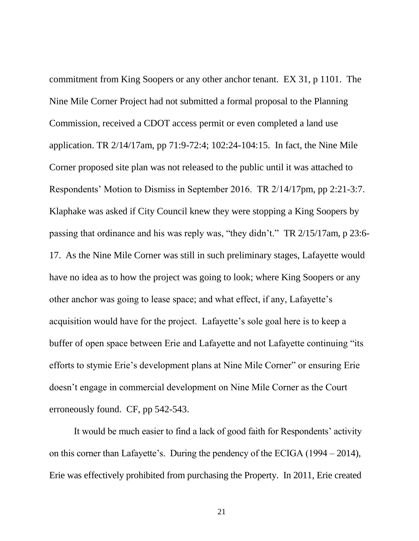commitment from King Soopers or any other anchor tenant. EX 31, p 1101. The Nine Mile Corner Project had not submitted a formal proposal to the Planning Commission, received a CDOT access permit or even completed a land use application. TR 2/14/17am, pp 71:9-72:4; 102:24-104:15. In fact, the Nine Mile Corner proposed site plan was not released to the public until it was attached to Respondents' Motion to Dismiss in September 2016. TR 2/14/17pm, pp 2:21-3:7. Klaphake was asked if City Council knew they were stopping a King Soopers by passing that ordinance and his was reply was, "they didn't." TR 2/15/17am, p 23:6- 17. As the Nine Mile Corner was still in such preliminary stages, Lafayette would have no idea as to how the project was going to look; where King Soopers or any other anchor was going to lease space; and what effect, if any, Lafayette's acquisition would have for the project. Lafayette's sole goal here is to keep a buffer of open space between Erie and Lafayette and not Lafayette continuing "its efforts to stymie Erie's development plans at Nine Mile Corner" or ensuring Erie doesn't engage in commercial development on Nine Mile Corner as the Court erroneously found. CF, pp 542-543.

It would be much easier to find a lack of good faith for Respondents' activity on this corner than Lafayette's. During the pendency of the ECIGA (1994 – 2014), Erie was effectively prohibited from purchasing the Property. In 2011, Erie created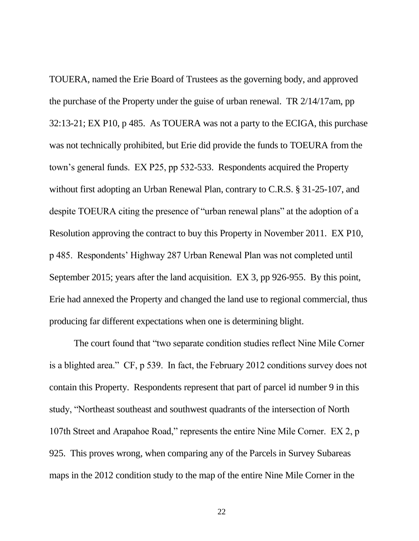TOUERA, named the Erie Board of Trustees as the governing body, and approved the purchase of the Property under the guise of urban renewal. TR 2/14/17am, pp 32:13-21; EX P10, p 485. As TOUERA was not a party to the ECIGA, this purchase was not technically prohibited, but Erie did provide the funds to TOEURA from the town's general funds. EX P25, pp 532-533. Respondents acquired the Property without first adopting an Urban Renewal Plan, contrary to C.R.S. § 31-25-107, and despite TOEURA citing the presence of "urban renewal plans" at the adoption of a Resolution approving the contract to buy this Property in November 2011. EX P10, p 485. Respondents' Highway 287 Urban Renewal Plan was not completed until September 2015; years after the land acquisition. EX 3, pp 926-955. By this point, Erie had annexed the Property and changed the land use to regional commercial, thus producing far different expectations when one is determining blight.

The court found that "two separate condition studies reflect Nine Mile Corner is a blighted area." CF, p 539. In fact, the February 2012 conditions survey does not contain this Property. Respondents represent that part of parcel id number 9 in this study, "Northeast southeast and southwest quadrants of the intersection of North 107th Street and Arapahoe Road," represents the entire Nine Mile Corner. EX 2, p 925. This proves wrong, when comparing any of the Parcels in Survey Subareas maps in the 2012 condition study to the map of the entire Nine Mile Corner in the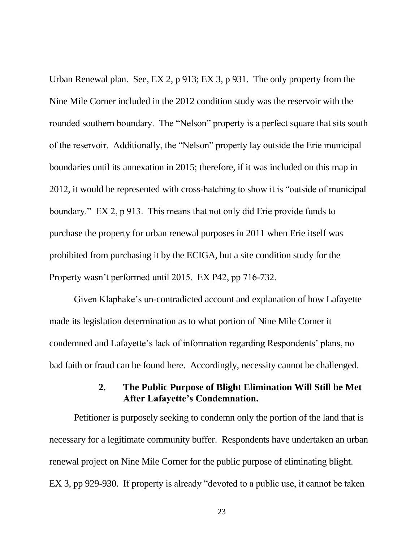Urban Renewal plan. See, EX 2, p 913; EX 3, p 931. The only property from the Nine Mile Corner included in the 2012 condition study was the reservoir with the rounded southern boundary. The "Nelson" property is a perfect square that sits south of the reservoir. Additionally, the "Nelson" property lay outside the Erie municipal boundaries until its annexation in 2015; therefore, if it was included on this map in 2012, it would be represented with cross-hatching to show it is "outside of municipal boundary." EX 2, p 913. This means that not only did Erie provide funds to purchase the property for urban renewal purposes in 2011 when Erie itself was prohibited from purchasing it by the ECIGA, but a site condition study for the Property wasn't performed until 2015. EX P42, pp 716-732.

Given Klaphake's un-contradicted account and explanation of how Lafayette made its legislation determination as to what portion of Nine Mile Corner it condemned and Lafayette's lack of information regarding Respondents' plans, no bad faith or fraud can be found here. Accordingly, necessity cannot be challenged.

#### **2. The Public Purpose of Blight Elimination Will Still be Met After Lafayette's Condemnation.**

Petitioner is purposely seeking to condemn only the portion of the land that is necessary for a legitimate community buffer. Respondents have undertaken an urban renewal project on Nine Mile Corner for the public purpose of eliminating blight. EX 3, pp 929-930. If property is already "devoted to a public use, it cannot be taken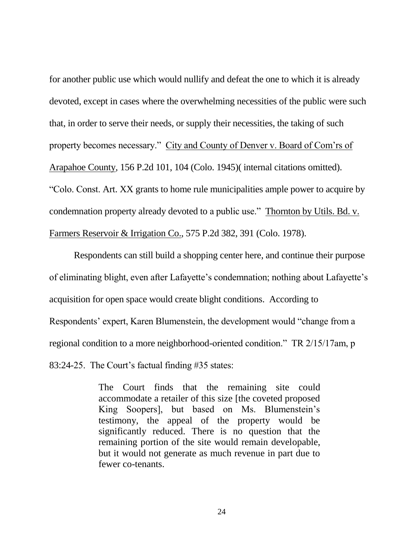for another public use which would nullify and defeat the one to which it is already devoted, except in cases where the overwhelming necessities of the public were such that, in order to serve their needs, or supply their necessities, the taking of such property becomes necessary." City and County of Denver v. Board of Com'rs of Arapahoe County*,* 156 P.2d 101, 104 (Colo. 1945)( internal citations omitted). "Colo. Const. Art. XX grants to home rule municipalities ample power to acquire by condemnation property already devoted to a public use." Thornton by Utils. Bd. v. Farmers Reservoir & Irrigation Co., 575 P.2d 382, 391 (Colo. 1978).

Respondents can still build a shopping center here, and continue their purpose of eliminating blight, even after Lafayette's condemnation; nothing about Lafayette's acquisition for open space would create blight conditions. According to Respondents' expert, Karen Blumenstein, the development would "change from a regional condition to a more neighborhood-oriented condition." TR 2/15/17am, p 83:24-25. The Court's factual finding #35 states:

> The Court finds that the remaining site could accommodate a retailer of this size [the coveted proposed King Soopers], but based on Ms. Blumenstein's testimony, the appeal of the property would be significantly reduced. There is no question that the remaining portion of the site would remain developable, but it would not generate as much revenue in part due to fewer co-tenants.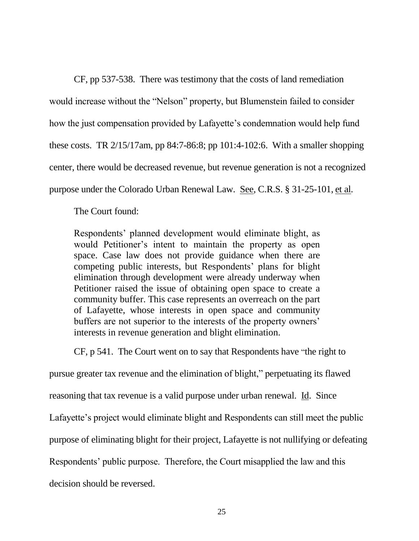CF, pp 537-538. There was testimony that the costs of land remediation would increase without the "Nelson" property, but Blumenstein failed to consider how the just compensation provided by Lafayette's condemnation would help fund these costs. TR 2/15/17am, pp 84:7-86:8; pp 101:4-102:6. With a smaller shopping center, there would be decreased revenue, but revenue generation is not a recognized purpose under the Colorado Urban Renewal Law. See, C.R.S. § 31-25-101, et al*.*

The Court found:

Respondents' planned development would eliminate blight, as would Petitioner's intent to maintain the property as open space. Case law does not provide guidance when there are competing public interests, but Respondents' plans for blight elimination through development were already underway when Petitioner raised the issue of obtaining open space to create a community buffer. This case represents an overreach on the part of Lafayette, whose interests in open space and community buffers are not superior to the interests of the property owners' interests in revenue generation and blight elimination.

CF, p 541. The Court went on to say that Respondents have "the right to

pursue greater tax revenue and the elimination of blight," perpetuating its flawed reasoning that tax revenue is a valid purpose under urban renewal. Id. Since Lafayette's project would eliminate blight and Respondents can still meet the public purpose of eliminating blight for their project, Lafayette is not nullifying or defeating Respondents' public purpose. Therefore, the Court misapplied the law and this decision should be reversed.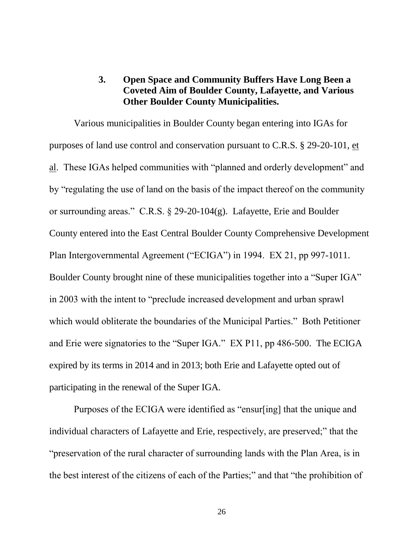### **3. Open Space and Community Buffers Have Long Been a Coveted Aim of Boulder County, Lafayette, and Various Other Boulder County Municipalities.**

Various municipalities in Boulder County began entering into IGAs for purposes of land use control and conservation pursuant to C.R.S. § 29-20-101, et al. These IGAs helped communities with "planned and orderly development" and by "regulating the use of land on the basis of the impact thereof on the community or surrounding areas." C.R.S. § 29-20-104(g). Lafayette, Erie and Boulder County entered into the East Central Boulder County Comprehensive Development Plan Intergovernmental Agreement ("ECIGA") in 1994. EX 21, pp 997-1011. Boulder County brought nine of these municipalities together into a "Super IGA" in 2003 with the intent to "preclude increased development and urban sprawl which would obliterate the boundaries of the Municipal Parties." Both Petitioner and Erie were signatories to the "Super IGA." EX P11, pp 486-500. The ECIGA expired by its terms in 2014 and in 2013; both Erie and Lafayette opted out of participating in the renewal of the Super IGA.

Purposes of the ECIGA were identified as "ensur[ing] that the unique and individual characters of Lafayette and Erie, respectively, are preserved;" that the "preservation of the rural character of surrounding lands with the Plan Area, is in the best interest of the citizens of each of the Parties;" and that "the prohibition of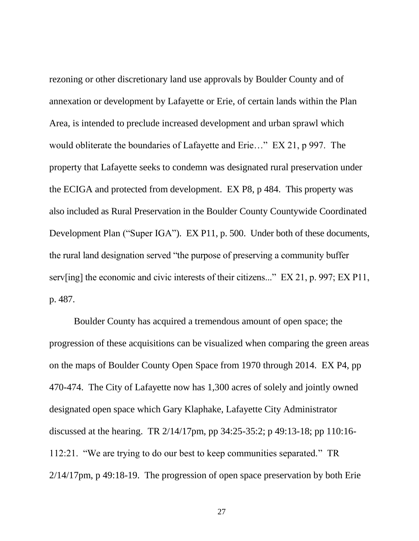rezoning or other discretionary land use approvals by Boulder County and of annexation or development by Lafayette or Erie, of certain lands within the Plan Area, is intended to preclude increased development and urban sprawl which would obliterate the boundaries of Lafayette and Erie…" EX 21, p 997. The property that Lafayette seeks to condemn was designated rural preservation under the ECIGA and protected from development. EX P8, p 484. This property was also included as Rural Preservation in the Boulder County Countywide Coordinated Development Plan ("Super IGA"). EX P11, p. 500. Under both of these documents, the rural land designation served "the purpose of preserving a community buffer serv[ing] the economic and civic interests of their citizens..." EX 21, p. 997; EX P11, p. 487.

Boulder County has acquired a tremendous amount of open space; the progression of these acquisitions can be visualized when comparing the green areas on the maps of Boulder County Open Space from 1970 through 2014. EX P4, pp 470-474. The City of Lafayette now has 1,300 acres of solely and jointly owned designated open space which Gary Klaphake, Lafayette City Administrator discussed at the hearing. TR 2/14/17pm, pp 34:25-35:2; p 49:13-18; pp 110:16- 112:21. "We are trying to do our best to keep communities separated." TR 2/14/17pm, p 49:18-19. The progression of open space preservation by both Erie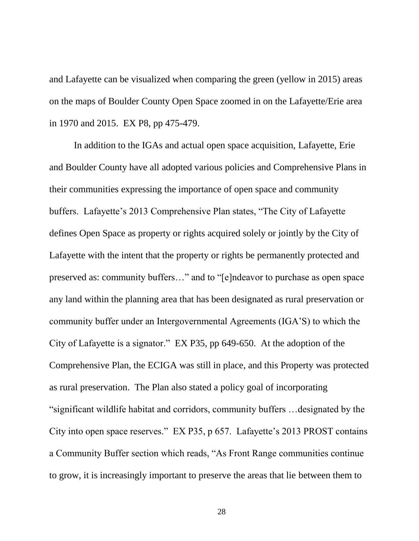and Lafayette can be visualized when comparing the green (yellow in 2015) areas on the maps of Boulder County Open Space zoomed in on the Lafayette/Erie area in 1970 and 2015. EX P8, pp 475-479.

In addition to the IGAs and actual open space acquisition, Lafayette, Erie and Boulder County have all adopted various policies and Comprehensive Plans in their communities expressing the importance of open space and community buffers. Lafayette's 2013 Comprehensive Plan states, "The City of Lafayette defines Open Space as property or rights acquired solely or jointly by the City of Lafayette with the intent that the property or rights be permanently protected and preserved as: community buffers…" and to "[e]ndeavor to purchase as open space any land within the planning area that has been designated as rural preservation or community buffer under an Intergovernmental Agreements (IGA'S) to which the City of Lafayette is a signator." EX P35, pp 649-650. At the adoption of the Comprehensive Plan, the ECIGA was still in place, and this Property was protected as rural preservation. The Plan also stated a policy goal of incorporating "significant wildlife habitat and corridors, community buffers …designated by the City into open space reserves." EX P35, p 657. Lafayette's 2013 PROST contains a Community Buffer section which reads, "As Front Range communities continue to grow, it is increasingly important to preserve the areas that lie between them to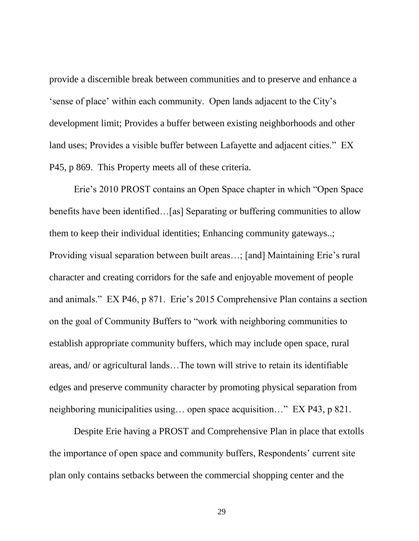provide a discernible break between communities and to preserve and enhance a 'sense of place' within each community. Open lands adjacent to the City's development limit; Provides a buffer between existing neighborhoods and other land uses; Provides a visible buffer between Lafayette and adjacent cities." EX P45, p 869. This Property meets all of these criteria.

Erie's 2010 PROST contains an Open Space chapter in which "Open Space benefits have been identified...[as] Separating or buffering communities to allow them to keep their individual identities; Enhancing community gateways..; Providing visual separation between built areas…; [and] Maintaining Erie's rural character and creating corridors for the safe and enjoyable movement of people and animals." EX P46, p 871. Erie's 2015 Comprehensive Plan contains a section on the goal of Community Buffers to "work with neighboring communities to establish appropriate community buffers, which may include open space, rural areas, and/ or agricultural lands…The town will strive to retain its identifiable edges and preserve community character by promoting physical separation from neighboring municipalities using… open space acquisition…" EX P43, p 821.

Despite Erie having a PROST and Comprehensive Plan in place that extolls the importance of open space and community buffers, Respondents' current site plan only contains setbacks between the commercial shopping center and the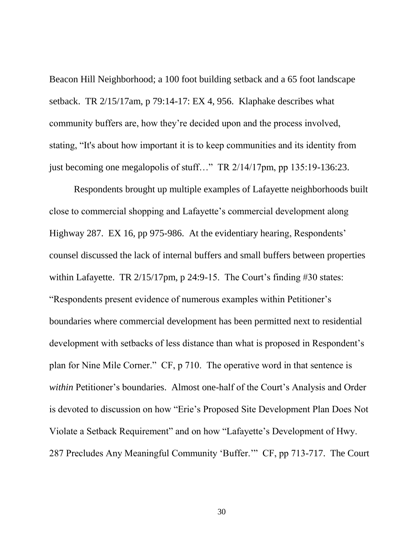Beacon Hill Neighborhood; a 100 foot building setback and a 65 foot landscape setback. TR 2/15/17am, p 79:14-17: EX 4, 956. Klaphake describes what community buffers are, how they're decided upon and the process involved, stating, "It's about how important it is to keep communities and its identity from just becoming one megalopolis of stuff…" TR 2/14/17pm, pp 135:19-136:23.

Respondents brought up multiple examples of Lafayette neighborhoods built close to commercial shopping and Lafayette's commercial development along Highway 287. EX 16, pp 975-986. At the evidentiary hearing, Respondents' counsel discussed the lack of internal buffers and small buffers between properties within Lafayette. TR 2/15/17pm, p 24:9-15. The Court's finding #30 states: "Respondents present evidence of numerous examples within Petitioner's boundaries where commercial development has been permitted next to residential development with setbacks of less distance than what is proposed in Respondent's plan for Nine Mile Corner." CF, p 710. The operative word in that sentence is *within* Petitioner's boundaries. Almost one-half of the Court's Analysis and Order is devoted to discussion on how "Erie's Proposed Site Development Plan Does Not Violate a Setback Requirement" and on how "Lafayette's Development of Hwy. 287 Precludes Any Meaningful Community 'Buffer.'" CF, pp 713-717. The Court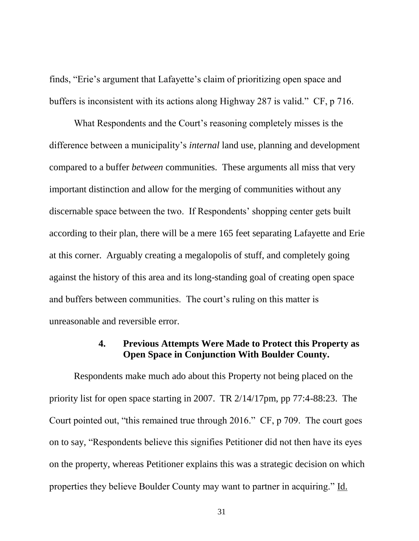finds, "Erie's argument that Lafayette's claim of prioritizing open space and buffers is inconsistent with its actions along Highway 287 is valid." CF, p 716.

What Respondents and the Court's reasoning completely misses is the difference between a municipality's *internal* land use, planning and development compared to a buffer *between* communities. These arguments all miss that very important distinction and allow for the merging of communities without any discernable space between the two. If Respondents' shopping center gets built according to their plan, there will be a mere 165 feet separating Lafayette and Erie at this corner. Arguably creating a megalopolis of stuff, and completely going against the history of this area and its long-standing goal of creating open space and buffers between communities. The court's ruling on this matter is unreasonable and reversible error.

### **4. Previous Attempts Were Made to Protect this Property as Open Space in Conjunction With Boulder County.**

Respondents make much ado about this Property not being placed on the priority list for open space starting in 2007. TR 2/14/17pm, pp 77:4-88:23. The Court pointed out, "this remained true through 2016." CF, p 709. The court goes on to say, "Respondents believe this signifies Petitioner did not then have its eyes on the property, whereas Petitioner explains this was a strategic decision on which properties they believe Boulder County may want to partner in acquiring." Id.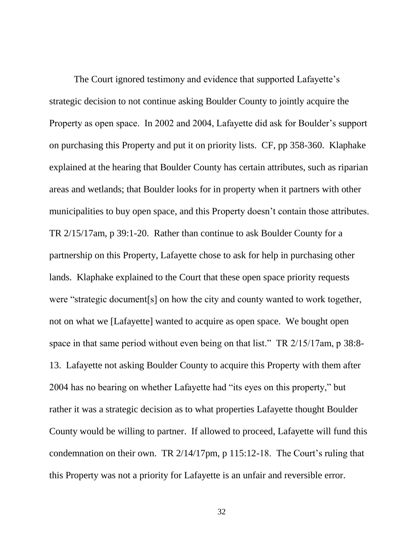The Court ignored testimony and evidence that supported Lafayette's strategic decision to not continue asking Boulder County to jointly acquire the Property as open space. In 2002 and 2004, Lafayette did ask for Boulder's support on purchasing this Property and put it on priority lists. CF, pp 358-360. Klaphake explained at the hearing that Boulder County has certain attributes, such as riparian areas and wetlands; that Boulder looks for in property when it partners with other municipalities to buy open space, and this Property doesn't contain those attributes. TR 2/15/17am, p 39:1-20. Rather than continue to ask Boulder County for a partnership on this Property, Lafayette chose to ask for help in purchasing other lands. Klaphake explained to the Court that these open space priority requests were "strategic document[s] on how the city and county wanted to work together, not on what we [Lafayette] wanted to acquire as open space. We bought open space in that same period without even being on that list." TR 2/15/17am, p 38:8- 13. Lafayette not asking Boulder County to acquire this Property with them after 2004 has no bearing on whether Lafayette had "its eyes on this property," but rather it was a strategic decision as to what properties Lafayette thought Boulder County would be willing to partner. If allowed to proceed, Lafayette will fund this condemnation on their own. TR 2/14/17pm, p 115:12-18. The Court's ruling that this Property was not a priority for Lafayette is an unfair and reversible error.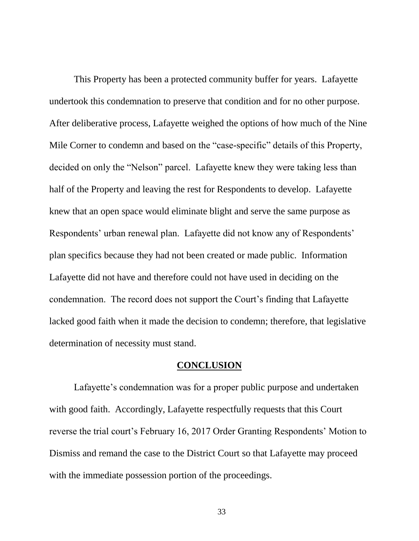This Property has been a protected community buffer for years. Lafayette undertook this condemnation to preserve that condition and for no other purpose. After deliberative process, Lafayette weighed the options of how much of the Nine Mile Corner to condemn and based on the "case-specific" details of this Property, decided on only the "Nelson" parcel. Lafayette knew they were taking less than half of the Property and leaving the rest for Respondents to develop. Lafayette knew that an open space would eliminate blight and serve the same purpose as Respondents' urban renewal plan. Lafayette did not know any of Respondents' plan specifics because they had not been created or made public. Information Lafayette did not have and therefore could not have used in deciding on the condemnation. The record does not support the Court's finding that Lafayette lacked good faith when it made the decision to condemn; therefore, that legislative determination of necessity must stand.

#### **CONCLUSION**

Lafayette's condemnation was for a proper public purpose and undertaken with good faith. Accordingly, Lafayette respectfully requests that this Court reverse the trial court's February 16, 2017 Order Granting Respondents' Motion to Dismiss and remand the case to the District Court so that Lafayette may proceed with the immediate possession portion of the proceedings.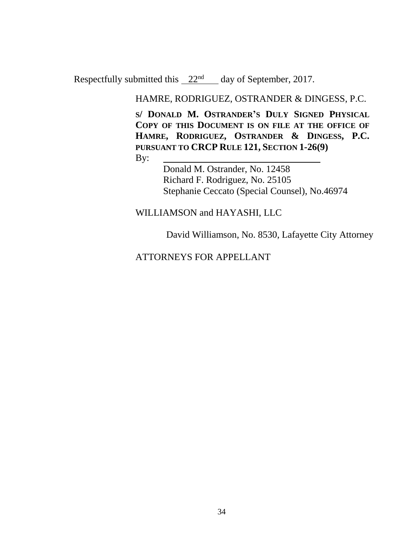Respectfully submitted this  $22<sup>nd</sup>$  day of September, 2017.

HAMRE, RODRIGUEZ, OSTRANDER & DINGESS, P.C.

**S/ DONALD M. OSTRANDER'S DULY SIGNED PHYSICAL COPY OF THIS DOCUMENT IS ON FILE AT THE OFFICE OF HAMRE, RODRIGUEZ, OSTRANDER & DINGESS, P.C. PURSUANT TO CRCP RULE 121, SECTION 1-26(9)**

By:

Donald M. Ostrander, No. 12458 Richard F. Rodriguez, No. 25105 Stephanie Ceccato (Special Counsel), No.46974

#### WILLIAMSON and HAYASHI, LLC

David Williamson, No. 8530, Lafayette City Attorney

### ATTORNEYS FOR APPELLANT